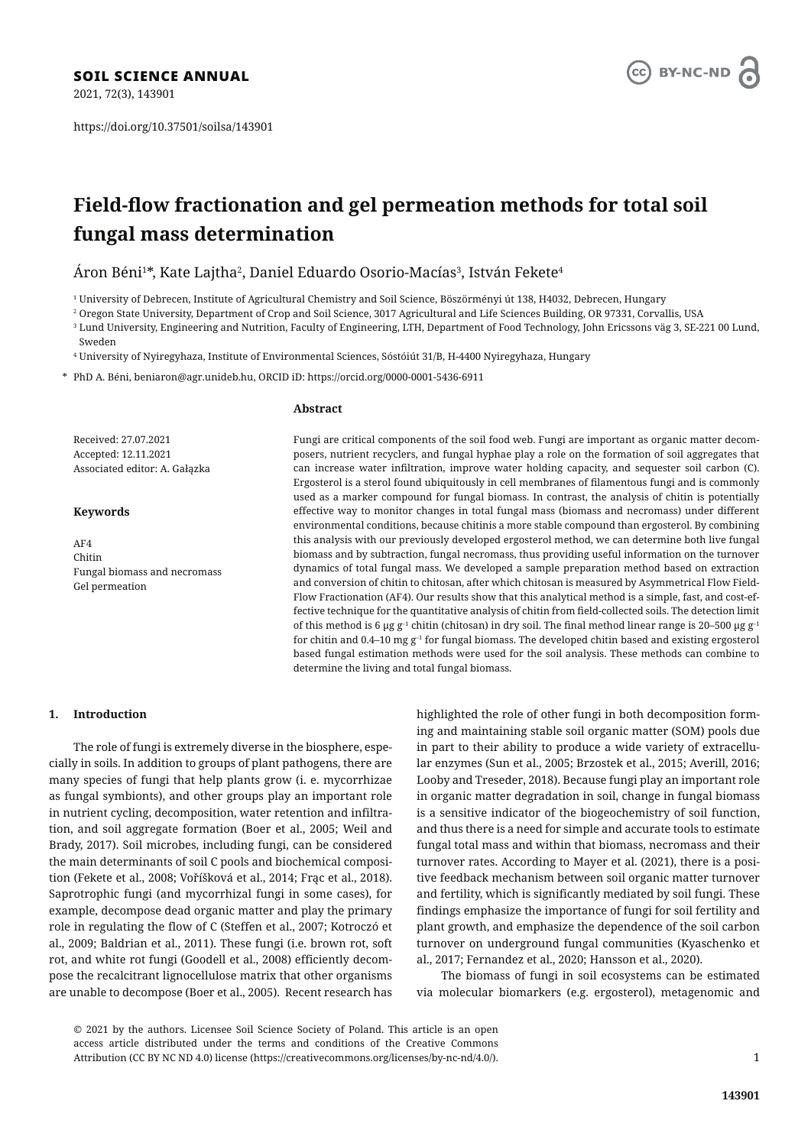2021, 72(3), 143901

https://doi.org/10.37501/soilsa/143901



# **Field-fl ow fractionation and gel permeation methods for total soil fungal mass determination**

Áron Béni $^{1*}$ , Kate Lajtha $^{2}$ , Daniel Eduardo Osorio-Macías $^{3}$ , István Fekete $^{4}$ 

1 University of Debrecen, Institute of Agricultural Chemistry and Soil Science, Böszörményi út 138, H4032, Debrecen, Hungary

2 Oregon State University, Department of Crop and Soil Science, 3017 Agricultural and Life Sciences Building, OR 97331, Corvallis, USA

 $^{\rm 3}$  Lund University, Engineering and Nutrition, Faculty of Engineering, LTH, Department of Food Technology, John Ericssons väg 3, SE-221 00 Lund,

Sweden

4 University of Nyiregyhaza, Institute of Environmental Sciences, Sóstóiút 31/B, H-4400 Nyiregyhaza, Hungary

\* PhD A. Béni, beniaron@agr.unideb.hu, ORCID iD: https://orcid.org/0000-0001-5436-6911

# **Abstract**

Received: 27.07.2021 Accepted: 12.11.2021 Associated editor: A. Gałązka

### **Keywords**

AF4 Chitin Fungal biomass and necromass Gel permeation

Fungi are critical components of the soil food web. Fungi are important as organic matter decomposers, nutrient recyclers, and fungal hyphae play a role on the formation of soil aggregates that can increase water infiltration, improve water holding capacity, and sequester soil carbon (C). Ergosterol is a sterol found ubiquitously in cell membranes of filamentous fungi and is commonly used as a marker compound for fungal biomass. In contrast, the analysis of chitin is potentially effective way to monitor changes in total fungal mass (biomass and necromass) under different environmental conditions, because chitinis a more stable compound than ergosterol. By combining this analysis with our previously developed ergosterol method, we can determine both live fungal biomass and by subtraction, fungal necromass, thus providing useful information on the turnover dynamics of total fungal mass. We developed a sample preparation method based on extraction and conversion of chitin to chitosan, after which chitosan is measured by Asymmetrical Flow Field-Flow Fractionation (AF4). Our results show that this analytical method is a simple, fast, and cost-effective technique for the quantitative analysis of chitin from field-collected soils. The detection limit of this method is 6 μg g<sup>-1</sup> chitin (chitosan) in dry soil. The final method linear range is 20–500 μg g<sup>-1</sup> for chitin and 0.4–10 mg  $g^{-1}$  for fungal biomass. The developed chitin based and existing ergosterol based fungal estimation methods were used for the soil analysis. These methods can combine to determine the living and total fungal biomass.

# **1. Introduction**

The role of fungi is extremely diverse in the biosphere, especially in soils. In addition to groups of plant pathogens, there are many species of fungi that help plants grow (i. e. mycorrhizae as fungal symbionts), and other groups play an important role in nutrient cycling, decomposition, water retention and infiltration, and soil aggregate formation (Boer et al., 2005; Weil and Brady, 2017). Soil microbes, including fungi, can be considered the main determinants of soil C pools and biochemical composition (Fekete et al., 2008; Voříšková et al., 2014; Frąc et al., 2018). Saprotrophic fungi (and mycorrhizal fungi in some cases), for example, decompose dead organic matter and play the primary role in regulating the flow of C (Steffen et al., 2007; Kotroczó et al., 2009; Baldrian et al., 2011). These fungi (i.e. brown rot, soft rot, and white rot fungi (Goodell et al., 2008) efficiently decompose the recalcitrant lignocellulose matrix that other organisms are unable to decompose (Boer et al., 2005). Recent research has

highlighted the role of other fungi in both decomposition forming and maintaining stable soil organic matter (SOM) pools due in part to their ability to produce a wide variety of extracellular enzymes (Sun et al., 2005; Brzostek et al., 2015; Averill, 2016; Looby and Treseder, 2018). Because fungi play an important role in organic matter degradation in soil, change in fungal biomass is a sensitive indicator of the biogeochemistry of soil function, and thus there is a need for simple and accurate tools to estimate fungal total mass and within that biomass, necromass and their turnover rates. According to Mayer et al. (2021), there is a positive feedback mechanism between soil organic matter turnover and fertility, which is significantly mediated by soil fungi. These findings emphasize the importance of fungi for soil fertility and plant growth, and emphasize the dependence of the soil carbon turnover on underground fungal communities (Kyaschenko et al., 2017; Fernandez et al., 2020; Hansson et al., 2020).

The biomass of fungi in soil ecosystems can be estimated via molecular biomarkers (e.g. ergosterol), metagenomic and

© 2021 by the authors. Licensee Soil Science Society of Poland. This article is an open access article distributed under the terms and conditions of the Creative Commons Attribution (CC BY NC ND 4.0) license (https://creativecommons.org/licenses/by-nc-nd/4.0/).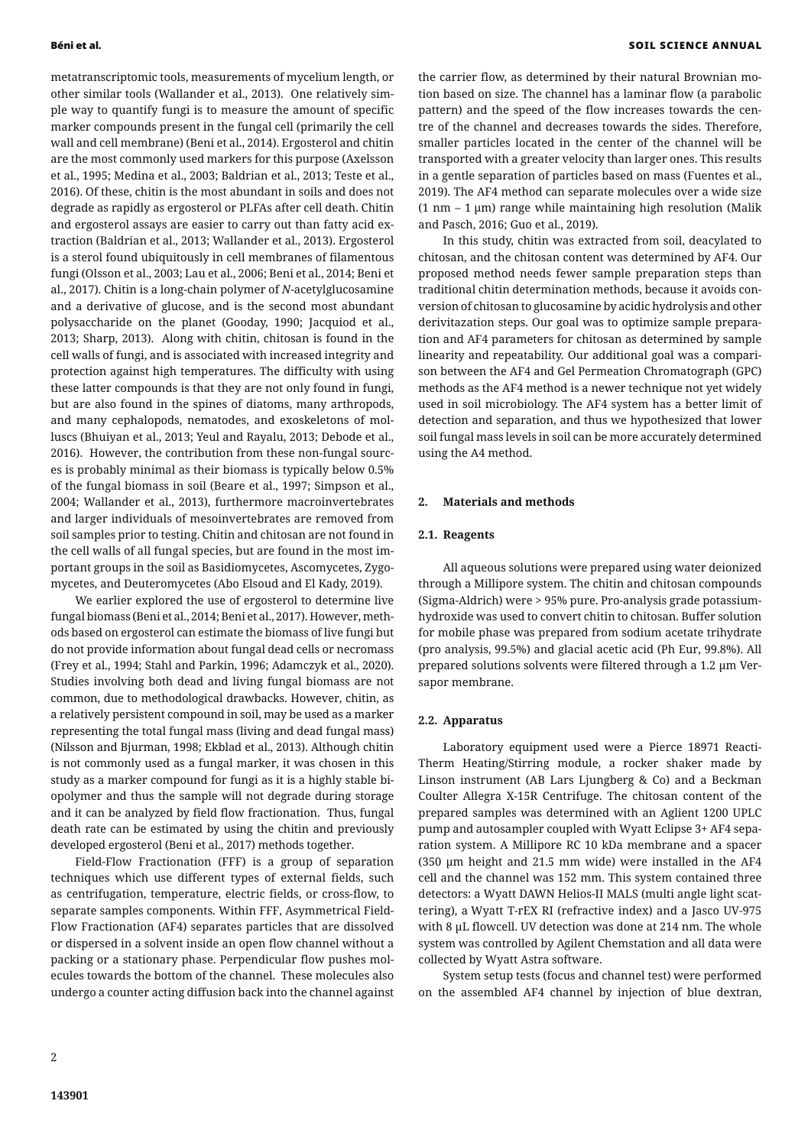metatranscriptomic tools, measurements of mycelium length, or other similar tools (Wallander et al., 2013). One relatively simple way to quantify fungi is to measure the amount of specific marker compounds present in the fungal cell (primarily the cell wall and cell membrane) (Beni et al., 2014). Ergosterol and chitin are the most commonly used markers for this purpose (Axelsson et al., 1995; Medina et al., 2003; Baldrian et al., 2013; Teste et al., 2016). Of these, chitin is the most abundant in soils and does not degrade as rapidly as ergosterol or PLFAs after cell death. Chitin and ergosterol assays are easier to carry out than fatty acid extraction (Baldrian et al., 2013; Wallander et al., 2013). Ergosterol is a sterol found ubiquitously in cell membranes of filamentous fungi (Olsson et al., 2003; Lau et al., 2006; Beni et al., 2014; Beni et al., 2017). Chitin is a long-chain polymer of *N*-acetylglucosamine and a derivative of glucose, and is the second most abundant polysaccharide on the planet (Gooday, 1990; Jacquiod et al., 2013; Sharp, 2013). Along with chitin, chitosan is found in the cell walls of fungi, and is associated with increased integrity and protection against high temperatures. The difficulty with using these latter compounds is that they are not only found in fungi, but are also found in the spines of diatoms, many arthropods, and many cephalopods, nematodes, and exoskeletons of molluscs (Bhuiyan et al., 2013; Yeul and Rayalu, 2013; Debode et al., 2016). However, the contribution from these non-fungal sources is probably minimal as their biomass is typically below 0.5% of the fungal biomass in soil (Beare et al., 1997; Simpson et al., 2004; Wallander et al., 2013), furthermore macroinvertebrates and larger individuals of mesoinvertebrates are removed from soil samples prior to testing. Chitin and chitosan are not found in the cell walls of all fungal species, but are found in the most important groups in the soil as Basidiomycetes, Ascomycetes, Zygomycetes, and Deuteromycetes (Abo Elsoud and El Kady, 2019).

We earlier explored the use of ergosterol to determine live fungal biomass (Beni et al., 2014; Beni et al., 2017). However, methods based on ergosterol can estimate the biomass of live fungi but do not provide information about fungal dead cells or necromass (Frey et al., 1994; Stahl and Parkin, 1996; Adamczyk et al., 2020). Studies involving both dead and living fungal biomass are not common, due to methodological drawbacks. However, chitin, as a relatively persistent compound in soil, may be used as a marker representing the total fungal mass (living and dead fungal mass) (Nilsson and Bjurman, 1998; Ekblad et al., 2013). Although chitin is not commonly used as a fungal marker, it was chosen in this study as a marker compound for fungi as it is a highly stable biopolymer and thus the sample will not degrade during storage and it can be analyzed by field flow fractionation. Thus, fungal death rate can be estimated by using the chitin and previously developed ergosterol (Beni et al., 2017) methods together.

Field-Flow Fractionation (FFF) is a group of separation techniques which use different types of external fields, such as centrifugation, temperature, electric fields, or cross-flow, to separate samples components. Within FFF, Asymmetrical Field-Flow Fractionation (AF4) separates particles that are dissolved or dispersed in a solvent inside an open flow channel without a packing or a stationary phase. Perpendicular flow pushes molecules towards the bottom of the channel. These molecules also undergo a counter acting diffusion back into the channel against the carrier flow, as determined by their natural Brownian motion based on size. The channel has a laminar flow (a parabolic pattern) and the speed of the flow increases towards the centre of the channel and decreases towards the sides. Therefore, smaller particles located in the center of the channel will be transported with a greater velocity than larger ones. This results in a gentle separation of particles based on mass (Fuentes et al., 2019). The AF4 method can separate molecules over a wide size (1 nm  $-$  1 µm) range while maintaining high resolution (Malik and Pasch, 2016; Guo et al., 2019).

In this study, chitin was extracted from soil, deacylated to chitosan, and the chitosan content was determined by AF4. Our proposed method needs fewer sample preparation steps than traditional chitin determination methods, because it avoids conversion of chitosan to glucosamine by acidic hydrolysis and other derivitazation steps. Our goal was to optimize sample preparation and AF4 parameters for chitosan as determined by sample linearity and repeatability. Our additional goal was a comparison between the AF4 and Gel Permeation Chromatograph (GPC) methods as the AF4 method is a newer technique not yet widely used in soil microbiology. The AF4 system has a better limit of detection and separation, and thus we hypothesized that lower soil fungal mass levels in soil can be more accurately determined using the A4 method.

### **2. Materials and methods**

### **2.1. Reagents**

All aqueous solutions were prepared using water deionized through a Millipore system. The chitin and chitosan compounds (Sigma-Aldrich) were > 95% pure. Pro-analysis grade potassiumhydroxide was used to convert chitin to chitosan. Buffer solution for mobile phase was prepared from sodium acetate trihydrate (pro analysis, 99.5%) and glacial acetic acid (Ph Eur, 99.8%). All prepared solutions solvents were filtered through a 1.2 μm Versapor membrane.

### **2.2. Apparatus**

Laboratory equipment used were a Pierce 18971 Reacti-Therm Heating/Stirring module, a rocker shaker made by Linson instrument (AB Lars Ljungberg & Co) and a Beckman Coulter Allegra X-15R Centrifuge. The chitosan content of the prepared samples was determined with an Aglient 1200 UPLC pump and autosampler coupled with Wyatt Eclipse 3+ AF4 separation system. A Millipore RC 10 kDa membrane and a spacer (350 μm height and 21.5 mm wide) were installed in the AF4 cell and the channel was 152 mm. This system contained three detectors: a Wyatt DAWN Helios-II MALS (multi angle light scattering), a Wyatt T-rEX RI (refractive index) and a Jasco UV-975 with 8 μL flowcell. UV detection was done at 214 nm. The whole system was controlled by Agilent Chemstation and all data were collected by Wyatt Astra software.

System setup tests (focus and channel test) were performed on the assembled AF4 channel by injection of blue dextran,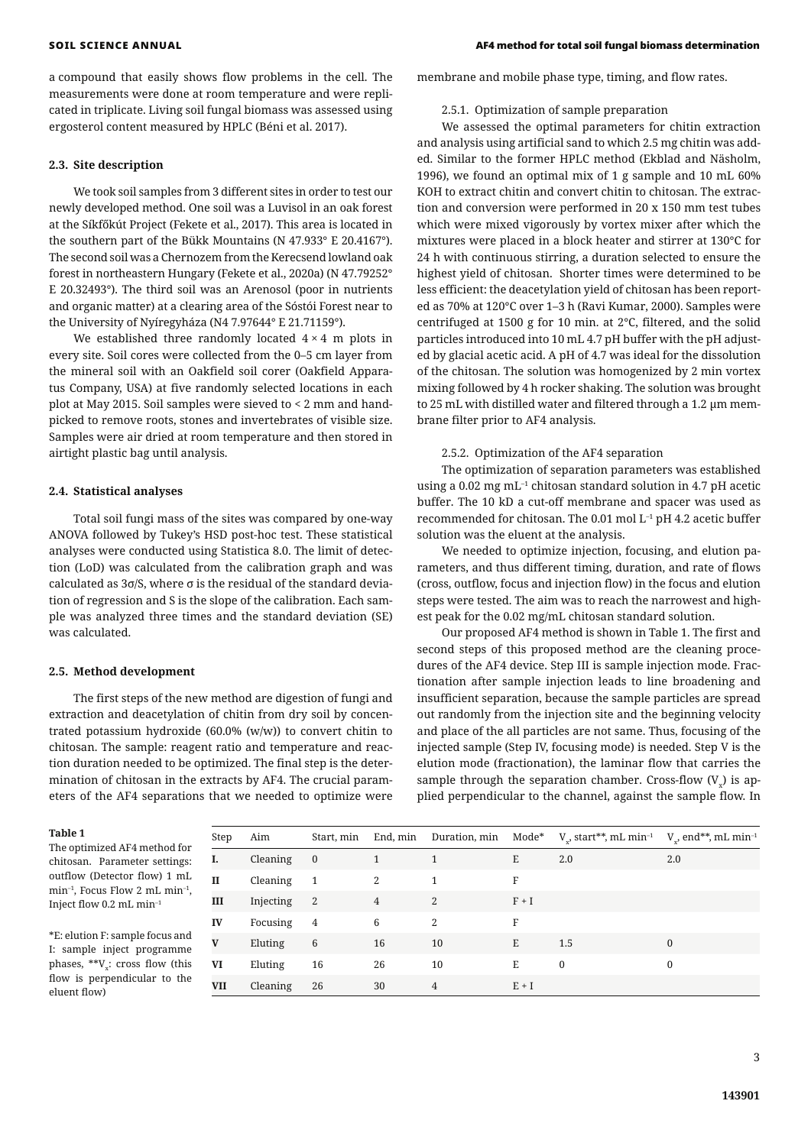a compound that easily shows flow problems in the cell. The measurements were done at room temperature and were replicated in triplicate. Living soil fungal biomass was assessed using ergosterol content measured by HPLC (Béni et al. 2017).

### **2.3. Site description**

We took soil samples from 3 different sites in order to test our newly developed method. One soil was a Luvisol in an oak forest at the Síkfőkút Project (Fekete et al., 2017). This area is located in the southern part of the Bükk Mountains (N 47.933° E 20.4167°). The second soil was a Chernozem from the Kerecsend lowland oak forest in northeastern Hungary (Fekete et al., 2020a) (N 47.79252° E 20.32493°). The third soil was an Arenosol (poor in nutrients and organic matter) at a clearing area of the Sóstói Forest near to the University of Nyíregyháza (N4 7.97644° E 21.71159°).

We established three randomly located  $4 \times 4$  m plots in every site. Soil cores were collected from the 0–5 cm layer from the mineral soil with an Oakfield soil corer (Oakfield Apparatus Company, USA) at five randomly selected locations in each plot at May 2015. Soil samples were sieved to < 2 mm and handpicked to remove roots, stones and invertebrates of visible size. Samples were air dried at room temperature and then stored in airtight plastic bag until analysis.

#### **2.4. Statistical analyses**

Total soil fungi mass of the sites was compared by one-way ANOVA followed by Tukey's HSD post-hoc test. These statistical analyses were conducted using Statistica 8.0. The limit of detection (LoD) was calculated from the calibration graph and was calculated as 3σ/S, where σ is the residual of the standard deviation of regression and S is the slope of the calibration. Each sample was analyzed three times and the standard deviation (SE) was calculated.

#### **2.5. Method development**

The first steps of the new method are digestion of fungi and extraction and deacetylation of chitin from dry soil by concentrated potassium hydroxide (60.0% (w/w)) to convert chitin to chitosan. The sample: reagent ratio and temperature and reaction duration needed to be optimized. The final step is the determination of chitosan in the extracts by AF4. The crucial parameters of the AF4 separations that we needed to optimize were

#### **Table 1**

The optimized AF4 method for chitosan. Parameter settings: outflow (Detector flow) 1 mL min–1, Focus Flow 2 mL min–1, Inject flow 0.2 mL min–1

\*E: elution F: sample focus and I: sample inject programme phases,  $**V_x$ : cross flow (this flow is perpendicular to the eluent flow)

membrane and mobile phase type, timing, and flow rates.

#### 2.5.1. Optimization of sample preparation

We assessed the optimal parameters for chitin extraction and analysis using artificial sand to which 2.5 mg chitin was added. Similar to the former HPLC method (Ekblad and Näsholm, 1996), we found an optimal mix of 1 g sample and 10 mL 60% KOH to extract chitin and convert chitin to chitosan. The extraction and conversion were performed in 20 x 150 mm test tubes which were mixed vigorously by vortex mixer after which the mixtures were placed in a block heater and stirrer at 130°C for 24 h with continuous stirring, a duration selected to ensure the highest yield of chitosan. Shorter times were determined to be less efficient: the deacetylation yield of chitosan has been reported as 70% at 120°C over 1–3 h (Ravi Kumar, 2000). Samples were centrifuged at 1500 g for 10 min. at 2°C, filtered, and the solid particles introduced into 10 mL 4.7 pH buffer with the pH adjusted by glacial acetic acid. A pH of 4.7 was ideal for the dissolution of the chitosan. The solution was homogenized by 2 min vortex mixing followed by 4 h rocker shaking. The solution was brought to 25 mL with distilled water and filtered through a 1.2 μm membrane filter prior to AF4 analysis.

# 2.5.2. Optimization of the AF4 separation

The optimization of separation parameters was established using a 0.02 mg mL–1 chitosan standard solution in 4.7 pH acetic buffer. The 10 kD a cut-off membrane and spacer was used as recommended for chitosan. The 0.01 mol L–1 pH 4.2 acetic buffer solution was the eluent at the analysis.

We needed to optimize injection, focusing, and elution parameters, and thus different timing, duration, and rate of flows (cross, outflow, focus and injection flow) in the focus and elution steps were tested. The aim was to reach the narrowest and highest peak for the 0.02 mg/mL chitosan standard solution.

Our proposed AF4 method is shown in Table 1. The first and second steps of this proposed method are the cleaning procedures of the AF4 device. Step III is sample injection mode. Fractionation after sample injection leads to line broadening and insufficient separation, because the sample particles are spread out randomly from the injection site and the beginning velocity and place of the all particles are not same. Thus, focusing of the injected sample (Step IV, focusing mode) is needed. Step V is the elution mode (fractionation), the laminar flow that carries the sample through the separation chamber. Cross-flow  $(V<sub>x</sub>)$  is applied perpendicular to the channel, against the sample flow. In

| Step | Aim       | Start, min                 | End, min       |    |         | Duration, min $\mod e^*$ V $\Box$ , start**, mL min <sup>-1</sup> V $\Box$ , end**, mL min <sup>-1</sup> |              |
|------|-----------|----------------------------|----------------|----|---------|----------------------------------------------------------------------------------------------------------|--------------|
|      | Cleaning  | $\overline{\mathbf{0}}$    |                | 1  | E       | 2.0                                                                                                      | 2.0          |
| П    | Cleaning  | $\overline{1}$             | 2              | 1  | F       |                                                                                                          |              |
| Ш    | Injecting | $\overline{\phantom{a}}^2$ | $\overline{4}$ | 2  | $F + I$ |                                                                                                          |              |
| IV   | Focusing  | $\overline{4}$             | 6              | 2  | F       |                                                                                                          |              |
| V    | Eluting   | 6                          | 16             | 10 | E       | 1.5                                                                                                      | $\mathbf{0}$ |
| VI   | Eluting   | 16                         | 26             | 10 | E       | $\mathbf{0}$                                                                                             | 0            |
| VII  | Cleaning  | 26                         | 30             | 4  | $E + I$ |                                                                                                          |              |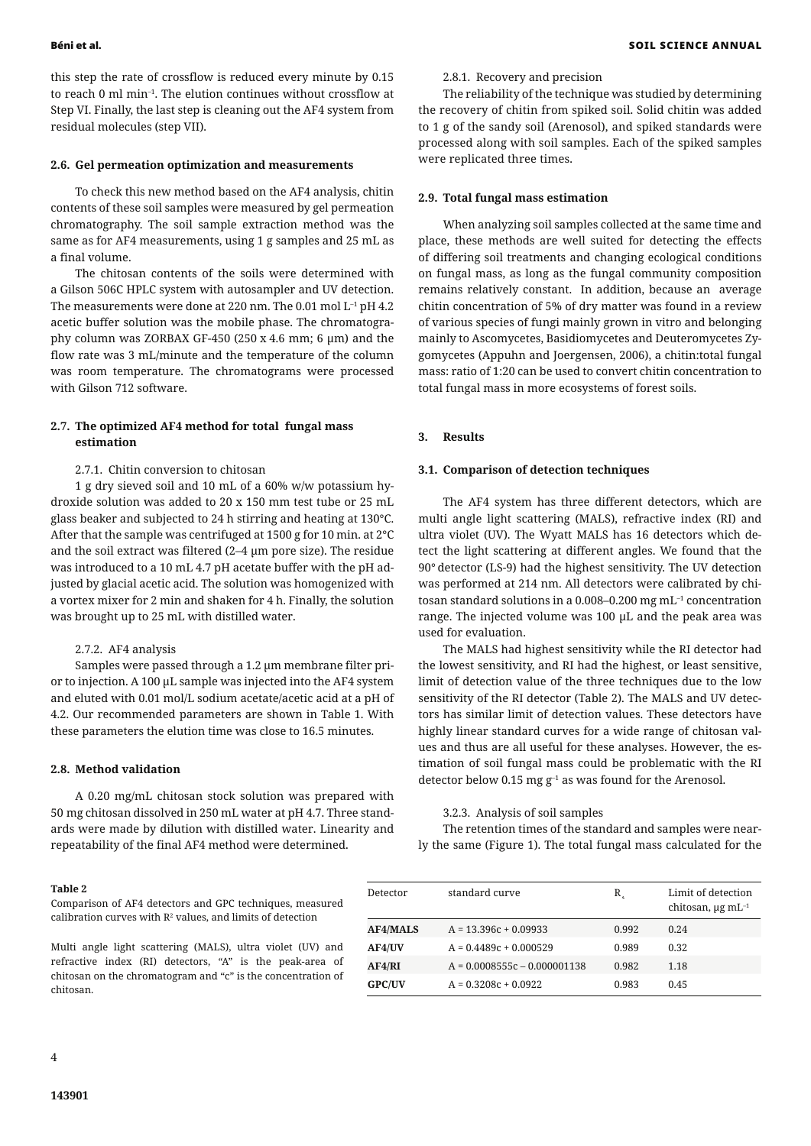this step the rate of crossflow is reduced every minute by 0.15 to reach 0 ml min–1. The elution continues without crossflow at Step VI. Finally, the last step is cleaning out the AF4 system from residual molecules (step VII).

#### **2.6. Gel permeation optimization and measurements**

To check this new method based on the AF4 analysis, chitin contents of these soil samples were measured by gel permeation chromatography. The soil sample extraction method was the same as for AF4 measurements, using 1 g samples and 25 mL as a final volume.

The chitosan contents of the soils were determined with a Gilson 506C HPLC system with autosampler and UV detection. The measurements were done at 220 nm. The 0.01 mol L–1 pH 4.2 acetic buffer solution was the mobile phase. The chromatography column was ZORBAX GF-450 (250 x 4.6 mm; 6 μm) and the flow rate was 3 mL/minute and the temperature of the column was room temperature. The chromatograms were processed with Gilson 712 software.

# **2.7. The optimized AF4 method for total fungal mass estimation**

#### 2.7.1. Chitin conversion to chitosan

1 g dry sieved soil and 10 mL of a 60% w/w potassium hydroxide solution was added to 20 x 150 mm test tube or 25 mL glass beaker and subjected to 24 h stirring and heating at 130°C. After that the sample was centrifuged at 1500 g for 10 min. at 2°C and the soil extract was filtered (2–4 μm pore size). The residue was introduced to a 10 mL 4.7 pH acetate buffer with the pH adjusted by glacial acetic acid. The solution was homogenized with a vortex mixer for 2 min and shaken for 4 h. Finally, the solution was brought up to 25 mL with distilled water.

# 2.7.2. AF4 analysis

Samples were passed through a 1.2 μm membrane filter prior to injection. A 100 μL sample was injected into the AF4 system and eluted with 0.01 mol/L sodium acetate/acetic acid at a pH of 4.2. Our recommended parameters are shown in Table 1. With these parameters the elution time was close to 16.5 minutes.

# **2.8. Method validation**

A 0.20 mg/mL chitosan stock solution was prepared with 50 mg chitosan dissolved in 250 mL water at pH 4.7. Three standards were made by dilution with distilled water. Linearity and repeatability of the final AF4 method were determined.

### 2.8.1. Recovery and precision

The reliability of the technique was studied by determining the recovery of chitin from spiked soil. Solid chitin was added to 1 g of the sandy soil (Arenosol), and spiked standards were processed along with soil samples. Each of the spiked samples were replicated three times.

#### **2.9. Total fungal mass estimation**

When analyzing soil samples collected at the same time and place, these methods are well suited for detecting the effects of differing soil treatments and changing ecological conditions on fungal mass, as long as the fungal community composition remains relatively constant. In addition, because an average chitin concentration of 5% of dry matter was found in a review of various species of fungi mainly grown in vitro and belonging mainly to Ascomycetes, Basidiomycetes and Deuteromycetes Zygomycetes (Appuhn and Joergensen, 2006), a chitin:total fungal mass: ratio of 1:20 can be used to convert chitin concentration to total fungal mass in more ecosystems of forest soils.

# **3. Results**

### **3.1. Comparison of detection techniques**

The AF4 system has three different detectors, which are multi angle light scattering (MALS), refractive index (RI) and ultra violet (UV). The Wyatt MALS has 16 detectors which detect the light scattering at different angles. We found that the 90° detector (LS-9) had the highest sensitivity. The UV detection was performed at 214 nm. All detectors were calibrated by chitosan standard solutions in a 0.008–0.200 mg mL $^{-1}$  concentration range. The injected volume was 100 μL and the peak area was used for evaluation.

The MALS had highest sensitivity while the RI detector had the lowest sensitivity, and RI had the highest, or least sensitive, limit of detection value of the three techniques due to the low sensitivity of the RI detector (Table 2). The MALS and UV detectors has similar limit of detection values. These detectors have highly linear standard curves for a wide range of chitosan values and thus are all useful for these analyses. However, the estimation of soil fungal mass could be problematic with the RI detector below 0.15 mg  $g^{-1}$  as was found for the Arenosol.

#### 3.2.3. Analysis of soil samples

The retention times of the standard and samples were nearly the same (Figure 1). The total fungal mass calculated for the

#### **Table 2**

Comparison of AF4 detectors and GPC techniques, measured calibration curves with  $\mathbb{R}^2$  values, and limits of detection

Multi angle light scattering (MALS), ultra violet (UV) and refractive index (RI) detectors, "A" is the peak-area of chitosan on the chromatogram and "c" is the concentration of chitosan.

| Detector        | standard curve                 | $R_{c}$ | Limit of detection<br>chitosan, $\mu$ g mL <sup>-1</sup> |
|-----------------|--------------------------------|---------|----------------------------------------------------------|
| <b>AF4/MALS</b> | $A = 13.396c + 0.09933$        | 0.992   | 0.24                                                     |
| <b>AF4/UV</b>   | $A = 0.4489c + 0.000529$       | 0.989   | 0.32                                                     |
| AF4/RI          | $A = 0.0008555c - 0.000001138$ | 0.982   | 1.18                                                     |
| <b>GPC/UV</b>   | $A = 0.3208c + 0.0922$         | 0.983   | 0.45                                                     |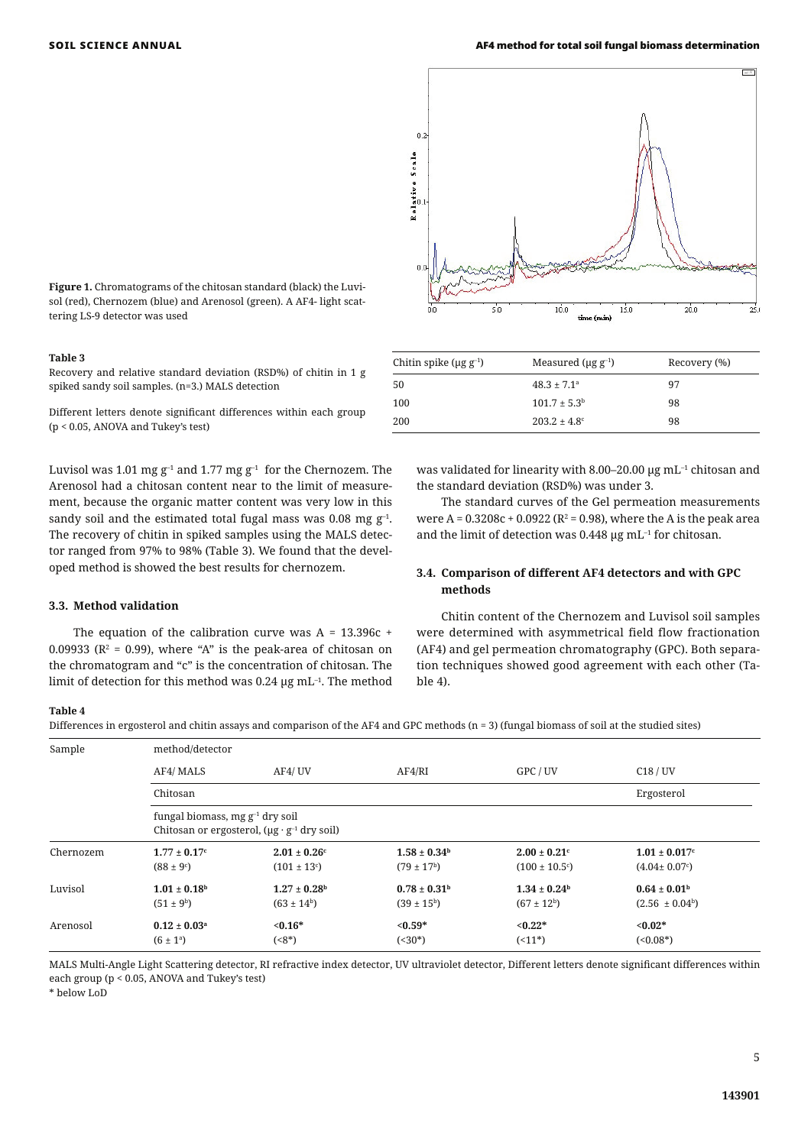

#### **Table 3**

Recovery and relative standard deviation (RSD%) of chitin in 1 g spiked sandy soil samples. (n=3.) MALS detection

Different letters denote significant differences within each group (p < 0.05, ANOVA and Tukey's test)

Luvisol was 1.01 mg  $g^{-1}$  and 1.77 mg  $g^{-1}$  for the Chernozem. The Arenosol had a chitosan content near to the limit of measurement, because the organic matter content was very low in this sandy soil and the estimated total fugal mass was 0.08 mg  $g^{-1}$ . The recovery of chitin in spiked samples using the MALS detector ranged from 97% to 98% (Table 3). We found that the developed method is showed the best results for chernozem.

#### **3.3. Method validation**

The equation of the calibration curve was  $A = 13.396c +$ 0.09933 ( $\mathbb{R}^2$  = 0.99), where "A" is the peak-area of chitosan on the chromatogram and "c" is the concentration of chitosan. The limit of detection for this method was 0.24  $\mu$ g mL<sup>-1</sup>. The method



| Chitin spike ( $\mu$ g g <sup>-1</sup> ) | Measured ( $\mu$ g g <sup>-1</sup> ) | Recovery (%) |
|------------------------------------------|--------------------------------------|--------------|
| -50                                      | $48.3 \pm 7.1^{\circ}$               | 97           |
| 100                                      | $101.7 \pm 5.3^{\rm b}$              | 98           |
| 200                                      | $203.2 \pm 4.8^{\circ}$              | 98           |

was validated for linearity with 8.00–20.00 μg mL<sup>-1</sup> chitosan and the standard deviation (RSD%) was under 3.

The standard curves of the Gel permeation measurements were A =  $0.3208c + 0.0922$  (R<sup>2</sup> = 0.98), where the A is the peak area and the limit of detection was  $0.448 \mu$ g mL<sup>-1</sup> for chitosan.

# **3.4. Comparison of different AF4 detectors and with GPC methods**

Chitin content of the Chernozem and Luvisol soil samples were determined with asymmetrical field flow fractionation (AF4) and gel permeation chromatography (GPC). Both separation techniques showed good agreement with each other (Table 4).

# **Table 4**

Differences in ergosterol and chitin assays and comparison of the AF4 and GPC methods (n = 3) (fungal biomass of soil at the studied sites)

| Sample    | method/detector                                                                                 |                               |                         |                          |                                  |  |  |
|-----------|-------------------------------------------------------------------------------------------------|-------------------------------|-------------------------|--------------------------|----------------------------------|--|--|
|           | AF4/ MALS                                                                                       | AF4/UV                        | AF4/RI                  | GPC / UV                 | C18/UV                           |  |  |
|           | Chitosan                                                                                        |                               |                         |                          | Ergosterol                       |  |  |
|           | fungal biomass, mg $g^{-1}$ dry soil<br>Chitosan or ergosterol, $(\mu g \cdot g^{-1}$ dry soil) |                               |                         |                          |                                  |  |  |
| Chernozem | $1.77 \pm 0.17$ <sup>c</sup>                                                                    | $2.01 \pm 0.26$ c             | $1.58 \pm 0.34^{\rm h}$ | $2.00 \pm 0.21$ c        | $1.01 \pm 0.017$ c               |  |  |
|           | $(88 \pm 9)$ <sup>c</sup> )                                                                     | $(101 \pm 13)$ <sup>c</sup> ) | $(79 \pm 17^{\rm b})$   | $(100 \pm 10.5^{\circ})$ | $(4.04 \pm 0.07)$ <sup>c</sup> ) |  |  |
| Luvisol   | $1.01 \pm 0.18^{\rm h}$                                                                         | $1.27 \pm 0.28^{\rm h}$       | $0.78 \pm 0.31^{\rm h}$ | $1.34 \pm 0.24^{\rm b}$  | $0.64 \pm 0.01^{\rm h}$          |  |  |
|           | $(51 \pm 9^{\rm b})$                                                                            | $(63 \pm 14^b)$               | $(39 \pm 15^{\rm b})$   | $(67 \pm 12^{\rm b})$    | $(2.56 \pm 0.04^b)$              |  |  |
| Arenosol  | $0.12 \pm 0.03^a$                                                                               | $< 0.16*$                     | $< 0.59*$               | $< 0.22*$                | $< 0.02*$                        |  |  |
|           | $(6 \pm 1^{\circ})$                                                                             | $(58^*)$                      | $(< 30^*)$              | $(11*)$                  | $(<0.08*)$                       |  |  |

MALS Multi-Angle Light Scattering detector, RI refractive index detector, UV ultraviolet detector, Different letters denote significant differences within each group (p < 0.05, ANOVA and Tukey's test)

\* below LoD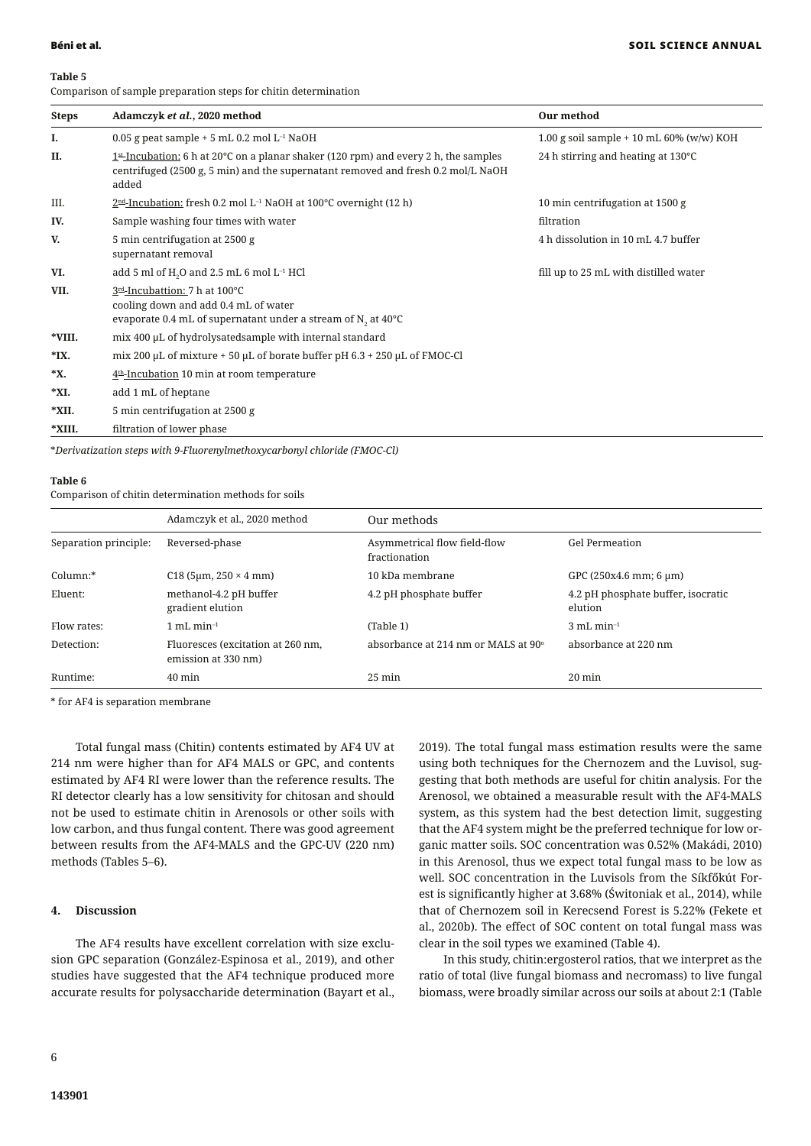#### **Table 5**

Comparison of sample preparation steps for chitin determination

| <b>Steps</b> | Adamczyk et al., 2020 method                                                                                                                                                                   | Our method                                   |  |  |
|--------------|------------------------------------------------------------------------------------------------------------------------------------------------------------------------------------------------|----------------------------------------------|--|--|
| Ι.           | 0.05 g peat sample $+5$ mL 0.2 mol L <sup>-1</sup> NaOH                                                                                                                                        | 1.00 g soil sample $+$ 10 mL 60% (w/w) KOH   |  |  |
| П.           | $1st$ -Incubation: 6 h at 20 $^{\circ}$ C on a planar shaker (120 rpm) and every 2 h, the samples<br>centrifuged (2500 g, 5 min) and the supernatant removed and fresh 0.2 mol/L NaOH<br>added | 24 h stirring and heating at $130^{\circ}$ C |  |  |
| III.         | $2nd$ -Incubation: fresh 0.2 mol L <sup>-1</sup> NaOH at 100°C overnight (12 h)                                                                                                                | 10 min centrifugation at 1500 g              |  |  |
| IV.          | Sample washing four times with water                                                                                                                                                           | filtration                                   |  |  |
| V.           | 5 min centrifugation at 2500 g<br>supernatant removal                                                                                                                                          | 4 h dissolution in 10 mL 4.7 buffer          |  |  |
| VI.          | add 5 ml of H <sub>2</sub> O and 2.5 mL 6 mol L <sup>-1</sup> HCl                                                                                                                              | fill up to 25 mL with distilled water        |  |  |
| VII.         | 3rd-Incubattion: 7 h at 100°C<br>cooling down and add 0.4 mL of water<br>evaporate 0.4 mL of supernatant under a stream of $N_2$ at 40°C                                                       |                                              |  |  |
| *VIII.       | mix 400 µL of hydrolysatedsample with internal standard                                                                                                                                        |                                              |  |  |
| $*$ IX.      | mix 200 µL of mixture + 50 µL of borate buffer pH $6.3 + 250$ µL of FMOC-Cl                                                                                                                    |                                              |  |  |
| *X.          | $4th$ -Incubation 10 min at room temperature                                                                                                                                                   |                                              |  |  |
| *XI.         | add 1 mL of heptane                                                                                                                                                                            |                                              |  |  |
| *XII.        | 5 min centrifugation at 2500 g                                                                                                                                                                 |                                              |  |  |
| *XIII.       | filtration of lower phase                                                                                                                                                                      |                                              |  |  |

\**Derivatization steps with 9-Fluorenylmethoxycarbonyl chloride (FMOC-Cl)*

### **Table 6**

Comparison of chitin determination methods for soils

|                       | Adamczyk et al., 2020 method                             | Our methods                                     |                                               |
|-----------------------|----------------------------------------------------------|-------------------------------------------------|-----------------------------------------------|
| Separation principle: | Reversed-phase                                           | Asymmetrical flow field-flow<br>fractionation   | <b>Gel Permeation</b>                         |
| Column:*              | $C18$ (5µm, 250 $\times$ 4 mm)                           | 10 kDa membrane                                 | GPC (250x4.6 mm; 6 µm)                        |
| Eluent:               | methanol-4.2 pH buffer<br>gradient elution               | 4.2 pH phosphate buffer                         | 4.2 pH phosphate buffer, isocratic<br>elution |
| Flow rates:           | $mL$ min <sup>-1</sup>                                   | (Table 1)                                       | $3 \text{ mL min}^{-1}$                       |
| Detection:            | Fluoresces (excitation at 260 nm,<br>emission at 330 nm) | absorbance at 214 nm or MALS at 90 <sup>°</sup> | absorbance at 220 nm                          |
| Runtime:              | $40 \text{ min}$                                         | $25 \text{ min}$                                | $20 \text{ min}$                              |

\* for AF4 is separation membrane

Total fungal mass (Chitin) contents estimated by AF4 UV at 214 nm were higher than for AF4 MALS or GPC, and contents estimated by AF4 RI were lower than the reference results. The RI detector clearly has a low sensitivity for chitosan and should not be used to estimate chitin in Arenosols or other soils with low carbon, and thus fungal content. There was good agreement between results from the AF4-MALS and the GPC-UV (220 nm) methods (Tables 5–6).

# **4. Discussion**

The AF4 results have excellent correlation with size exclusion GPC separation (González-Espinosa et al., 2019), and other studies have suggested that the AF4 technique produced more accurate results for polysaccharide determination (Bayart et al., 2019). The total fungal mass estimation results were the same using both techniques for the Chernozem and the Luvisol, suggesting that both methods are useful for chitin analysis. For the Arenosol, we obtained a measurable result with the AF4-MALS system, as this system had the best detection limit, suggesting that the AF4 system might be the preferred technique for low organic matter soils. SOC concentration was 0.52% (Makádi, 2010) in this Arenosol, thus we expect total fungal mass to be low as well. SOC concentration in the Luvisols from the Síkfőkút Forest is significantly higher at 3.68% (Świtoniak et al., 2014), while that of Chernozem soil in Kerecsend Forest is 5.22% (Fekete et al., 2020b). The effect of SOC content on total fungal mass was clear in the soil types we examined (Table 4).

In this study, chitin:ergosterol ratios, that we interpret as the ratio of total (live fungal biomass and necromass) to live fungal biomass, were broadly similar across our soils at about 2:1 (Table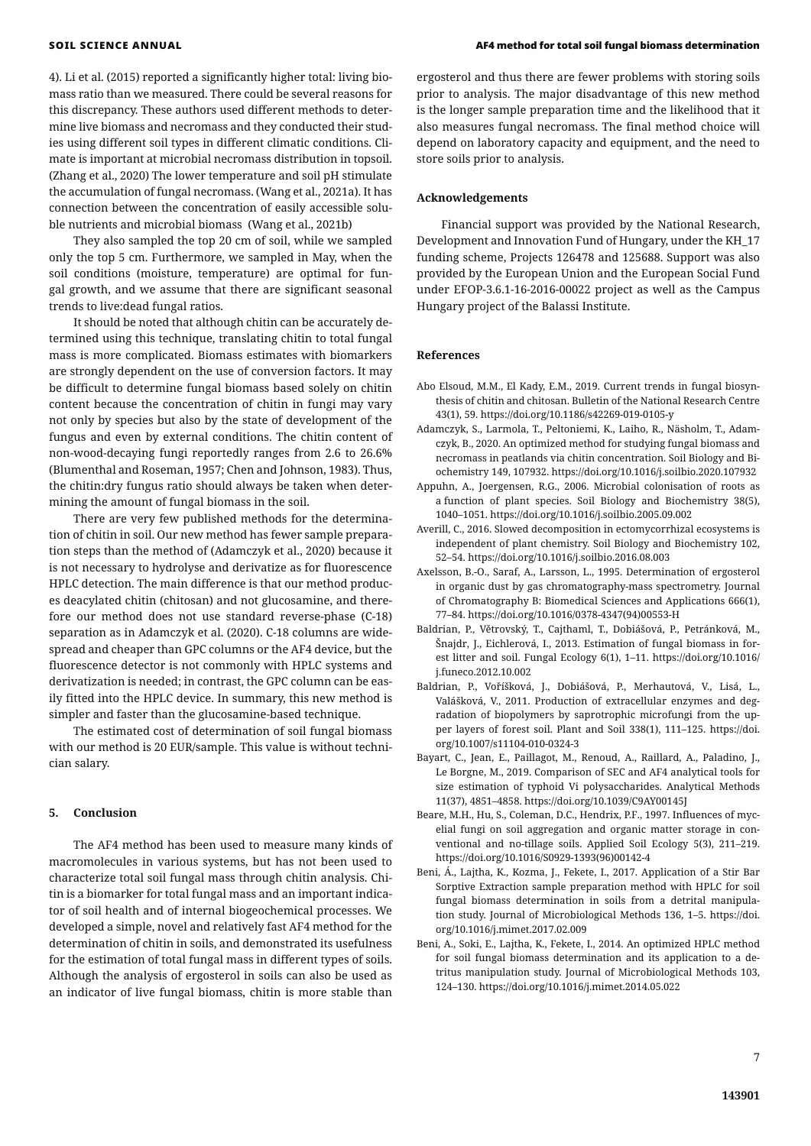4). Li et al. (2015) reported a significantly higher total: living biomass ratio than we measured. There could be several reasons for this discrepancy. These authors used different methods to determine live biomass and necromass and they conducted their studies using different soil types in different climatic conditions. Climate is important at microbial necromass distribution in topsoil. (Zhang et al., 2020) The lower temperature and soil pH stimulate the accumulation of fungal necromass. (Wang et al., 2021a). It has connection between the concentration of easily accessible soluble nutrients and microbial biomass (Wang et al., 2021b)

They also sampled the top 20 cm of soil, while we sampled only the top 5 cm. Furthermore, we sampled in May, when the soil conditions (moisture, temperature) are optimal for fungal growth, and we assume that there are significant seasonal trends to live:dead fungal ratios.

It should be noted that although chitin can be accurately determined using this technique, translating chitin to total fungal mass is more complicated. Biomass estimates with biomarkers are strongly dependent on the use of conversion factors. It may be difficult to determine fungal biomass based solely on chitin content because the concentration of chitin in fungi may vary not only by species but also by the state of development of the fungus and even by external conditions. The chitin content of non-wood-decaying fungi reportedly ranges from 2.6 to 26.6% (Blumenthal and Roseman, 1957; Chen and Johnson, 1983). Thus, the chitin:dry fungus ratio should always be taken when determining the amount of fungal biomass in the soil.

There are very few published methods for the determination of chitin in soil. Our new method has fewer sample preparation steps than the method of (Adamczyk et al., 2020) because it is not necessary to hydrolyse and derivatize as for fluorescence HPLC detection. The main difference is that our method produces deacylated chitin (chitosan) and not glucosamine, and therefore our method does not use standard reverse-phase (C-18) separation as in Adamczyk et al. (2020). C-18 columns are widespread and cheaper than GPC columns or the AF4 device, but the fluorescence detector is not commonly with HPLC systems and derivatization is needed; in contrast, the GPC column can be easily fitted into the HPLC device. In summary, this new method is simpler and faster than the glucosamine-based technique.

The estimated cost of determination of soil fungal biomass with our method is 20 EUR/sample. This value is without technician salary.

#### **5. Conclusion**

The AF4 method has been used to measure many kinds of macromolecules in various systems, but has not been used to characterize total soil fungal mass through chitin analysis. Chitin is a biomarker for total fungal mass and an important indicator of soil health and of internal biogeochemical processes. We developed a simple, novel and relatively fast AF4 method for the determination of chitin in soils, and demonstrated its usefulness for the estimation of total fungal mass in different types of soils. Although the analysis of ergosterol in soils can also be used as an indicator of live fungal biomass, chitin is more stable than

ergosterol and thus there are fewer problems with storing soils prior to analysis. The major disadvantage of this new method is the longer sample preparation time and the likelihood that it also measures fungal necromass. The final method choice will depend on laboratory capacity and equipment, and the need to store soils prior to analysis.

### **Acknowledgements**

Financial support was provided by the National Research, Development and Innovation Fund of Hungary, under the KH\_17 funding scheme, Projects 126478 and 125688. Support was also provided by the European Union and the European Social Fund under EFOP-3.6.1-16-2016-00022 project as well as the Campus Hungary project of the Balassi Institute.

### **References**

- Abo Elsoud, M.M., El Kady, E.M., 2019. Current trends in fungal biosynthesis of chitin and chitosan. Bulletin of the National Research Centre 43(1), 59. https://doi.org/10.1186/s42269-019-0105-y
- Adamczyk, S., Larmola, T., Peltoniemi, K., Laiho, R., Näsholm, T., Adamczyk, B., 2020. An optimized method for studying fungal biomass and necromass in peatlands via chitin concentration. Soil Biology and Biochemistry 149, 107932. https://doi.org/10.1016/j.soilbio.2020.107932
- Appuhn, A., Joergensen, R.G., 2006. Microbial colonisation of roots as a function of plant species. Soil Biology and Biochemistry 38(5), 1040–1051. https://doi.org/10.1016/j.soilbio.2005.09.002
- Averill, C., 2016. Slowed decomposition in ectomycorrhizal ecosystems is independent of plant chemistry. Soil Biology and Biochemistry 102, 52–54. https://doi.org/10.1016/j.soilbio.2016.08.003
- Axelsson, B.-O., Saraf, A., Larsson, L., 1995. Determination of ergosterol in organic dust by gas chromatography-mass spectrometry. Journal of Chromatography B: Biomedical Sciences and Applications 666(1), 77–84. https://doi.org/10.1016/0378-4347(94)00553-H
- Baldrian, P., Větrovský, T., Cajthaml, T., Dobiášová, P., Petránková, M., Šnajdr, J., Eichlerová, I., 2013. Estimation of fungal biomass in forest litter and soil. Fungal Ecology 6(1), 1–11. https://doi.org/10.1016/ j.funeco.2012.10.002
- Baldrian, P., Voříšková, J., Dobiášová, P., Merhautová, V., Lisá, L., Valášková, V., 2011. Production of extracellular enzymes and degradation of biopolymers by saprotrophic microfungi from the upper layers of forest soil. Plant and Soil 338(1), 111–125. https://doi. org/10.1007/s11104-010-0324-3
- Bayart, C., Jean, E., Paillagot, M., Renoud, A., Raillard, A., Paladino, J., Le Borgne, M., 2019. Comparison of SEC and AF4 analytical tools for size estimation of typhoid Vi polysaccharides. Analytical Methods 11(37), 4851–4858. https://doi.org/10.1039/C9AY00145J
- Beare, M.H., Hu, S., Coleman, D.C., Hendrix, P.F., 1997. Influences of mycelial fungi on soil aggregation and organic matter storage in conventional and no-tillage soils. Applied Soil Ecology 5(3), 211–219. https://doi.org/10.1016/S0929-1393(96)00142-4
- Beni, Á., Lajtha, K., Kozma, J., Fekete, I., 2017. Application of a Stir Bar Sorptive Extraction sample preparation method with HPLC for soil fungal biomass determination in soils from a detrital manipulation study. Journal of Microbiological Methods 136, 1–5. https://doi. org/10.1016/j.mimet.2017.02.009
- Beni, A., Soki, E., Lajtha, K., Fekete, I., 2014. An optimized HPLC method for soil fungal biomass determination and its application to a detritus manipulation study. Journal of Microbiological Methods 103, 124–130. https://doi.org/10.1016/j.mimet.2014.05.022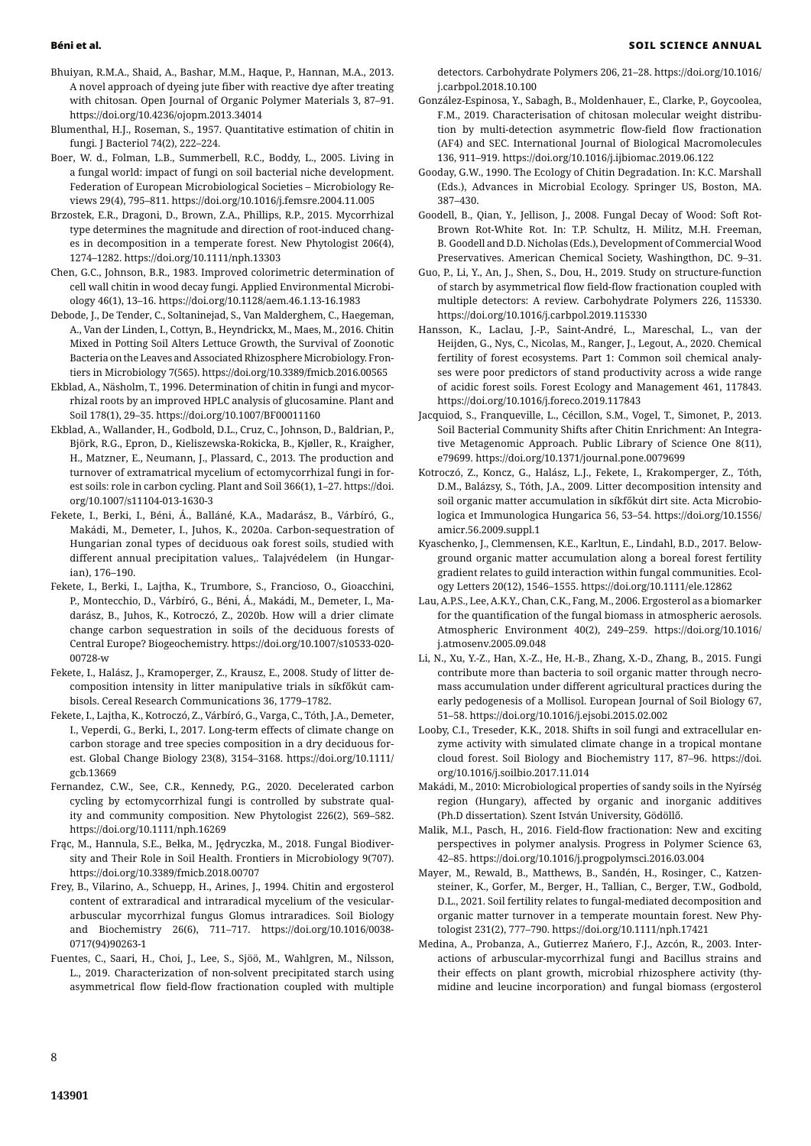- Bhuiyan, R.M.A., Shaid, A., Bashar, M.M., Haque, P., Hannan, M.A., 2013. A novel approach of dyeing jute fiber with reactive dye after treating with chitosan. Open Journal of Organic Polymer Materials 3, 87–91. https://doi.org/10.4236/ojopm.2013.34014
- Blumenthal, H.J., Roseman, S., 1957. Quantitative estimation of chitin in fungi. J Bacteriol 74(2), 222–224.
- Boer, W. d., Folman, L.B., Summerbell, R.C., Boddy, L., 2005. Living in a fungal world: impact of fungi on soil bacterial niche development. Federation of European Microbiological Societies – Microbiology Reviews 29(4), 795–811. https://doi.org/10.1016/j.femsre.2004.11.005
- Brzostek, E.R., Dragoni, D., Brown, Z.A., Phillips, R.P., 2015. Mycorrhizal type determines the magnitude and direction of root-induced changes in decomposition in a temperate forest. New Phytologist 206(4), 1274–1282. https://doi.org/10.1111/nph.13303
- Chen, G.C., Johnson, B.R., 1983. Improved colorimetric determination of cell wall chitin in wood decay fungi. Applied Environmental Microbiology 46(1), 13–16. https://doi.org/10.1128/aem.46.1.13-16.1983
- Debode, J., De Tender, C., Soltaninejad, S., Van Malderghem, C., Haegeman, A., Van der Linden, I., Cottyn, B., Heyndrickx, M., Maes, M., 2016. Chitin Mixed in Potting Soil Alters Lettuce Growth, the Survival of Zoonotic Bacteria on the Leaves and Associated Rhizosphere Microbiology. Frontiers in Microbiology 7(565). https://doi.org/10.3389/fmicb.2016.00565
- Ekblad, A., Näsholm, T., 1996. Determination of chitin in fungi and mycorrhizal roots by an improved HPLC analysis of glucosamine. Plant and Soil 178(1), 29–35. https://doi.org/10.1007/BF00011160
- Ekblad, A., Wallander, H., Godbold, D.L., Cruz, C., Johnson, D., Baldrian, P., Björk, R.G., Epron, D., Kieliszewska-Rokicka, B., Kjøller, R., Kraigher, H., Matzner, E., Neumann, J., Plassard, C., 2013. The production and turnover of extramatrical mycelium of ectomycorrhizal fungi in forest soils: role in carbon cycling. Plant and Soil 366(1), 1–27. https://doi. org/10.1007/s11104-013-1630-3
- Fekete, I., Berki, I., Béni, Á., Balláné, K.A., Madarász, B., Várbíró, G., Makádi, M., Demeter, I., Juhos, K., 2020a. Carbon-sequestration of Hungarian zonal types of deciduous oak forest soils, studied with different annual precipitation values,. Talajvédelem (in Hungarian), 176–190.
- Fekete, I., Berki, I., Lajtha, K., Trumbore, S., Francioso, O., Gioacchini, P., Montecchio, D., Várbíró, G., Béni, Á., Makádi, M., Demeter, I., Madarász, B., Juhos, K., Kotroczó, Z., 2020b. How will a drier climate change carbon sequestration in soils of the deciduous forests of Central Europe? Biogeochemistry. https://doi.org/10.1007/s10533-020- 00728-w
- Fekete, I., Halász, J., Kramoperger, Z., Krausz, E., 2008. Study of litter decomposition intensity in litter manipulative trials in síkfőkút cambisols. Cereal Research Communications 36, 1779–1782.
- Fekete, I., Lajtha, K., Kotroczó, Z., Várbíró, G., Varga, C., Tóth, J.A., Demeter, I., Veperdi, G., Berki, I., 2017. Long-term effects of climate change on carbon storage and tree species composition in a dry deciduous forest. Global Change Biology 23(8), 3154–3168. https://doi.org/10.1111/ gcb.13669
- Fernandez, C.W., See, C.R., Kennedy, P.G., 2020. Decelerated carbon cycling by ectomycorrhizal fungi is controlled by substrate quality and community composition. New Phytologist 226(2), 569–582. https://doi.org/10.1111/nph.16269
- Frąc, M., Hannula, S.E., Bełka, M., Jędryczka, M., 2018. Fungal Biodiversity and Their Role in Soil Health. Frontiers in Microbiology 9(707). https://doi.org/10.3389/fmicb.2018.00707
- Frey, B., Vilarino, A., Schuepp, H., Arines, J., 1994. Chitin and ergosterol content of extraradical and intraradical mycelium of the vesiculararbuscular mycorrhizal fungus Glomus intraradices. Soil Biology and Biochemistry 26(6), 711–717. https://doi.org/10.1016/0038- 0717(94)90263-1
- Fuentes, C., Saari, H., Choi, J., Lee, S., Sjöö, M., Wahlgren, M., Nilsson, L., 2019. Characterization of non-solvent precipitated starch using asymmetrical flow field-flow fractionation coupled with multiple

detectors. Carbohydrate Polymers 206, 21–28. https://doi.org/10.1016/ j.carbpol.2018.10.100

- González-Espinosa, Y., Sabagh, B., Moldenhauer, E., Clarke, P., Goycoolea, F.M., 2019. Characterisation of chitosan molecular weight distribution by multi-detection asymmetric flow-field flow fractionation (AF4) and SEC. International Journal of Biological Macromolecules 136, 911–919. https://doi.org/10.1016/j.ijbiomac.2019.06.122
- Gooday, G.W., 1990. The Ecology of Chitin Degradation. In: K.C. Marshall (Eds.), Advances in Microbial Ecology. Springer US, Boston, MA. 387–430.
- Goodell, B., Qian, Y., Jellison, J., 2008. Fungal Decay of Wood: Soft Rot-Brown Rot-White Rot. In: T.P. Schultz, H. Militz, M.H. Freeman, B. Goodell and D.D. Nicholas (Eds.), Development of Commercial Wood Preservatives. American Chemical Society, Washingthon, DC. 9–31.
- Guo, P., Li, Y., An, J., Shen, S., Dou, H., 2019. Study on structure-function of starch by asymmetrical flow field-flow fractionation coupled with multiple detectors: A review. Carbohydrate Polymers 226, 115330. https://doi.org/10.1016/j.carbpol.2019.115330
- Hansson, K., Laclau, J.-P., Saint-André, L., Mareschal, L., van der Heijden, G., Nys, C., Nicolas, M., Ranger, J., Legout, A., 2020. Chemical fertility of forest ecosystems. Part 1: Common soil chemical analyses were poor predictors of stand productivity across a wide range of acidic forest soils. Forest Ecology and Management 461, 117843. https://doi.org/10.1016/j.foreco.2019.117843
- Jacquiod, S., Franqueville, L., Cécillon, S.M., Vogel, T., Simonet, P., 2013. Soil Bacterial Community Shifts after Chitin Enrichment: An Integrative Metagenomic Approach. Public Library of Science One 8(11), e79699. https://doi.org/10.1371/journal.pone.0079699
- Kotroczó, Z., Koncz, G., Halász, L.J., Fekete, I., Krakomperger, Z., Tóth, D.M., Balázsy, S., Tóth, J.A., 2009. Litter decomposition intensity and soil organic matter accumulation in síkfőkút dirt site. Acta Microbiologica et Immunologica Hungarica 56, 53–54. https://doi.org/10.1556/ amicr.56.2009.suppl.1
- Kyaschenko, J., Clemmensen, K.E., Karltun, E., Lindahl, B.D., 2017. Belowground organic matter accumulation along a boreal forest fertility gradient relates to guild interaction within fungal communities. Ecology Letters 20(12), 1546–1555. https://doi.org/10.1111/ele.12862
- Lau, A.P.S., Lee, A.K.Y., Chan, C.K., Fang, M., 2006. Ergosterol as a biomarker for the quantification of the fungal biomass in atmospheric aerosols. Atmospheric Environment 40(2), 249–259. https://doi.org/10.1016/ j.atmosenv.2005.09.048
- Li, N., Xu, Y.-Z., Han, X.-Z., He, H.-B., Zhang, X.-D., Zhang, B., 2015. Fungi contribute more than bacteria to soil organic matter through necromass accumulation under different agricultural practices during the early pedogenesis of a Mollisol. European Journal of Soil Biology 67, 51–58. https://doi.org/10.1016/j.ejsobi.2015.02.002
- Looby, C.I., Treseder, K.K., 2018. Shifts in soil fungi and extracellular enzyme activity with simulated climate change in a tropical montane cloud forest. Soil Biology and Biochemistry 117, 87–96. https://doi. org/10.1016/j.soilbio.2017.11.014
- Makádi, M., 2010: Microbiological properties of sandy soils in the Nyírség region (Hungary), affected by organic and inorganic additives (Ph.D dissertation)*.* Szent István University, Gödöllő.
- Malik, M.I., Pasch, H., 2016. Field-flow fractionation: New and exciting perspectives in polymer analysis. Progress in Polymer Science 63, 42–85. https://doi.org/10.1016/j.progpolymsci.2016.03.004
- Mayer, M., Rewald, B., Matthews, B., Sandén, H., Rosinger, C., Katzensteiner, K., Gorfer, M., Berger, H., Tallian, C., Berger, T.W., Godbold, D.L., 2021. Soil fertility relates to fungal-mediated decomposition and organic matter turnover in a temperate mountain forest. New Phytologist 231(2), 777–790. https://doi.org/10.1111/nph.17421
- Medina, A., Probanza, A., Gutierrez Mańero, F.J., Azcón, R., 2003. Interactions of arbuscular-mycorrhizal fungi and Bacillus strains and their effects on plant growth, microbial rhizosphere activity (thymidine and leucine incorporation) and fungal biomass (ergosterol